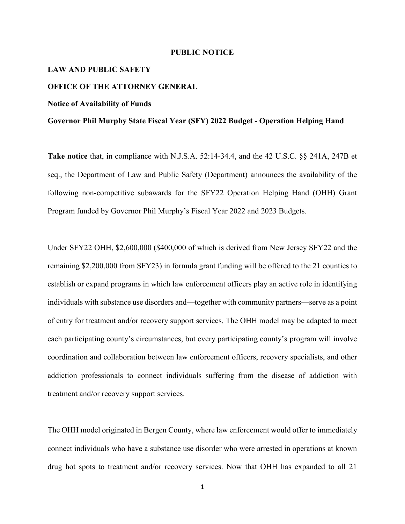## **PUBLIC NOTICE**

# **LAW AND PUBLIC SAFETY**

# **OFFICE OF THE ATTORNEY GENERAL**

### **Notice of Availability of Funds**

## **Governor Phil Murphy State Fiscal Year (SFY) 2022 Budget - Operation Helping Hand**

**Take notice** that, in compliance with N.J.S.A. 52:14-34.4, and the [42 U.S.C.](https://web.lexisnexis.com/research/buttonTFLink?_m=8d2cbaa09629a451b06d4efc03f2ab26&_xfercite=%3ccite%20cc%3d%22USA%22%3e%3c%21%5bCDATA%5b48%20N.J.R.%20467%28a%29%5d%5d%3e%3c%2fcite%3e&_butType=4&_butStat=0&_butNum=1&_butInline=1&_butinfo=42%20USC%2010601&_fmtstr=FULL&docnum=10&_startdoc=1&wchp=dGLbVzk-zSkAA&_md5=63fd14013444820063ff494dae47a3aa) §§ 241A, 247B et seq., the Department of Law and Public Safety (Department) announces the availability of the following non-competitive subawards for the SFY22 Operation Helping Hand (OHH) Grant Program funded by Governor Phil Murphy's Fiscal Year 2022 and 2023 Budgets.

Under SFY22 OHH, \$2,600,000 (\$400,000 of which is derived from New Jersey SFY22 and the remaining \$2,200,000 from SFY23) in formula grant funding will be offered to the 21 counties to establish or expand programs in which law enforcement officers play an active role in identifying individuals with substance use disorders and—together with community partners—serve as a point of entry for treatment and/or recovery support services. The OHH model may be adapted to meet each participating county's circumstances, but every participating county's program will involve coordination and collaboration between law enforcement officers, recovery specialists, and other addiction professionals to connect individuals suffering from the disease of addiction with treatment and/or recovery support services.

The OHH model originated in Bergen County, where law enforcement would offer to immediately connect individuals who have a substance use disorder who were arrested in operations at known drug hot spots to treatment and/or recovery services. Now that OHH has expanded to all 21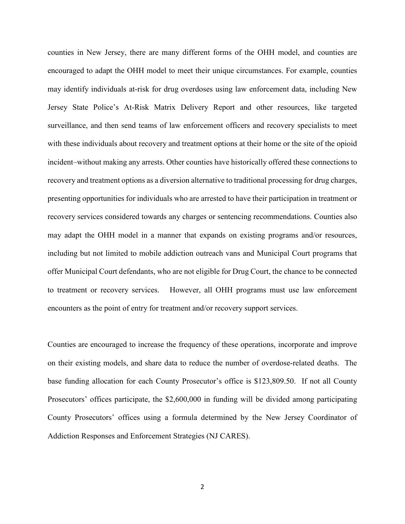counties in New Jersey, there are many different forms of the OHH model, and counties are encouraged to adapt the OHH model to meet their unique circumstances. For example, counties may identify individuals at-risk for drug overdoses using law enforcement data, including New Jersey State Police's At-Risk Matrix Delivery Report and other resources, like targeted surveillance, and then send teams of law enforcement officers and recovery specialists to meet with these individuals about recovery and treatment options at their home or the site of the opioid incident–without making any arrests. Other counties have historically offered these connections to recovery and treatment options as a diversion alternative to traditional processing for drug charges, presenting opportunities for individuals who are arrested to have their participation in treatment or recovery services considered towards any charges or sentencing recommendations. Counties also may adapt the OHH model in a manner that expands on existing programs and/or resources, including but not limited to mobile addiction outreach vans and Municipal Court programs that offer Municipal Court defendants, who are not eligible for Drug Court, the chance to be connected to treatment or recovery services. However, all OHH programs must use law enforcement encounters as the point of entry for treatment and/or recovery support services.

Counties are encouraged to increase the frequency of these operations, incorporate and improve on their existing models, and share data to reduce the number of overdose-related deaths. The base funding allocation for each County Prosecutor's office is \$123,809.50. If not all County Prosecutors' offices participate, the \$2,600,000 in funding will be divided among participating County Prosecutors' offices using a formula determined by the New Jersey Coordinator of Addiction Responses and Enforcement Strategies (NJ CARES).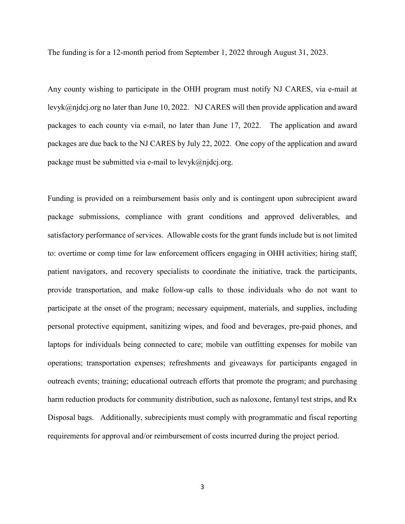The funding is for a 12-month period from September 1, 2022 through August 31, 2023.

Any county wishing to participate in the OHH program must notify NJ CARES, via e-mail at levyk@njdcj.org no later than June 10, 2022. NJ CARES will then provide application and award packages to each county via e-mail, no later than June 17, 2022. The application and award packages are due back to the NJ CARES by July 22, 2022. One copy of the application and award package must be submitted via e-mail to  $levyk@njdcj.org$ .

Funding is provided on a reimbursement basis only and is contingent upon subrecipient award package submissions, compliance with grant conditions and approved deliverables, and satisfactory performance of services. Allowable costs for the grant funds include but is not limited to: overtime or comp time for law enforcement officers engaging in OHH activities; hiring staff, patient navigators, and recovery specialists to coordinate the initiative, track the participants, provide transportation, and make follow-up calls to those individuals who do not want to participate at the onset of the program; necessary equipment, materials, and supplies, including personal protective equipment, sanitizing wipes, and food and beverages, pre-paid phones, and laptops for individuals being connected to care; mobile van outfitting expenses for mobile van operations; transportation expenses; refreshments and giveaways for participants engaged in outreach events; training; educational outreach efforts that promote the program; and purchasing harm reduction products for community distribution, such as naloxone, fentanyl test strips, and Rx Disposal bags. Additionally, subrecipients must comply with programmatic and fiscal reporting requirements for approval and/or reimbursement of costs incurred during the project period.